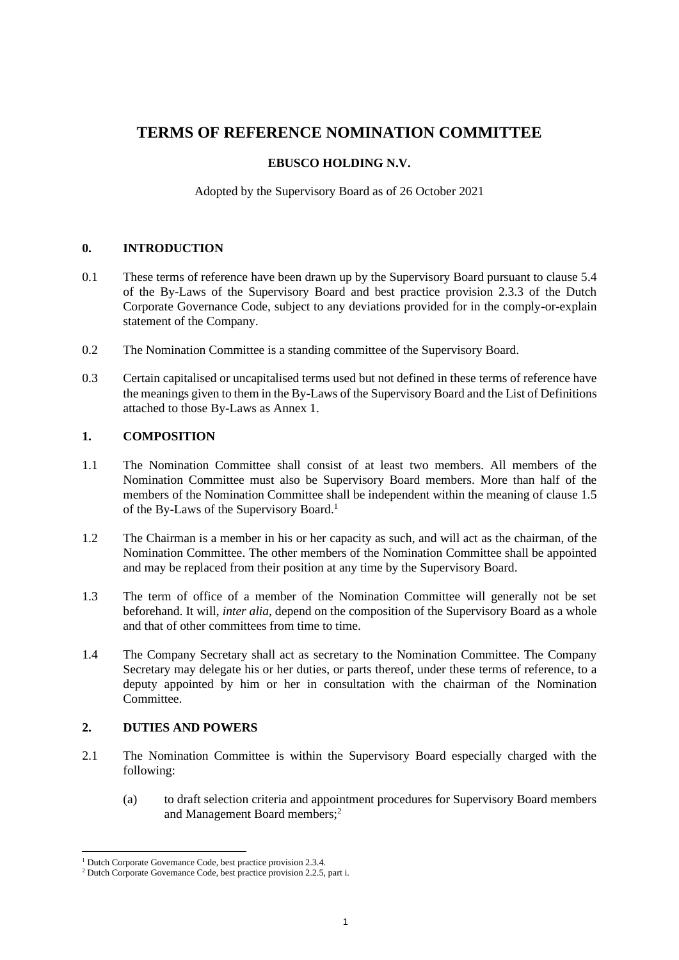# **TERMS OF REFERENCE NOMINATION COMMITTEE**

#### **EBUSCO HOLDING N.V.**

Adopted by the Supervisory Board as of 26 October 2021

# **0. INTRODUCTION**

- 0.1 These terms of reference have been drawn up by the Supervisory Board pursuant to clause 5.4 of the By-Laws of the Supervisory Board and best practice provision 2.3.3 of the Dutch Corporate Governance Code, subject to any deviations provided for in the comply-or-explain statement of the Company.
- 0.2 The Nomination Committee is a standing committee of the Supervisory Board.
- 0.3 Certain capitalised or uncapitalised terms used but not defined in these terms of reference have the meanings given to them in the By-Laws of the Supervisory Board and the List of Definitions attached to those By-Laws as Annex 1.

# **1. COMPOSITION**

- 1.1 The Nomination Committee shall consist of at least two members. All members of the Nomination Committee must also be Supervisory Board members. More than half of the members of the Nomination Committee shall be independent within the meaning of clause 1.5 of the By-Laws of the Supervisory Board.<sup>1</sup>
- 1.2 The Chairman is a member in his or her capacity as such, and will act as the chairman, of the Nomination Committee. The other members of the Nomination Committee shall be appointed and may be replaced from their position at any time by the Supervisory Board.
- 1.3 The term of office of a member of the Nomination Committee will generally not be set beforehand. It will, *inter alia*, depend on the composition of the Supervisory Board as a whole and that of other committees from time to time.
- 1.4 The Company Secretary shall act as secretary to the Nomination Committee. The Company Secretary may delegate his or her duties, or parts thereof, under these terms of reference, to a deputy appointed by him or her in consultation with the chairman of the Nomination **Committee**

#### <span id="page-0-0"></span>**2. DUTIES AND POWERS**

- 2.1 The Nomination Committee is within the Supervisory Board especially charged with the following:
	- (a) to draft selection criteria and appointment procedures for Supervisory Board members and Management Board members;<sup>2</sup>

<sup>&</sup>lt;sup>1</sup> Dutch Corporate Governance Code, best practice provision 2.3.4.

<sup>2</sup> Dutch Corporate Governance Code, best practice provision 2.2.5, part i.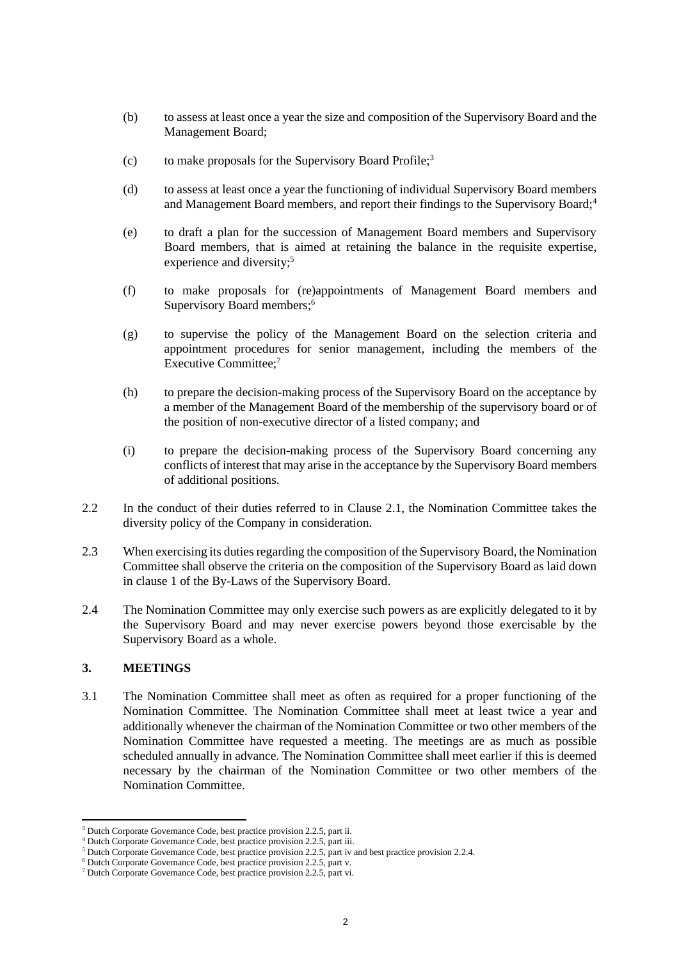- (b) to assess at least once a year the size and composition of the Supervisory Board and the Management Board;
- (c) to make proposals for the Supervisory Board Profile;<sup>3</sup>
- (d) to assess at least once a year the functioning of individual Supervisory Board members and Management Board members, and report their findings to the Supervisory Board;<sup>4</sup>
- (e) to draft a plan for the succession of Management Board members and Supervisory Board members, that is aimed at retaining the balance in the requisite expertise, experience and diversity;<sup>5</sup>
- (f) to make proposals for (re)appointments of Management Board members and Supervisory Board members; 6
- (g) to supervise the policy of the Management Board on the selection criteria and appointment procedures for senior management, including the members of the Executive Committee; 7
- (h) to prepare the decision-making process of the Supervisory Board on the acceptance by a member of the Management Board of the membership of the supervisory board or of the position of non-executive director of a listed company; and
- (i) to prepare the decision-making process of the Supervisory Board concerning any conflicts of interest that may arise in the acceptance by the Supervisory Board members of additional positions.
- 2.2 In the conduct of their duties referred to in Clause [2.1,](#page-0-0) the Nomination Committee takes the diversity policy of the Company in consideration.
- 2.3 When exercising its duties regarding the composition of the Supervisory Board, the Nomination Committee shall observe the criteria on the composition of the Supervisory Board as laid down in clause 1 of the By-Laws of the Supervisory Board.
- 2.4 The Nomination Committee may only exercise such powers as are explicitly delegated to it by the Supervisory Board and may never exercise powers beyond those exercisable by the Supervisory Board as a whole.

# **3. MEETINGS**

3.1 The Nomination Committee shall meet as often as required for a proper functioning of the Nomination Committee. The Nomination Committee shall meet at least twice a year and additionally whenever the chairman of the Nomination Committee or two other members of the Nomination Committee have requested a meeting. The meetings are as much as possible scheduled annually in advance. The Nomination Committee shall meet earlier if this is deemed necessary by the chairman of the Nomination Committee or two other members of the Nomination Committee.

<sup>&</sup>lt;sup>3</sup> Dutch Corporate Governance Code, best practice provision 2.2.5, part ii.

<sup>4</sup> Dutch Corporate Governance Code, best practice provision 2.2.5, part iii.

<sup>&</sup>lt;sup>5</sup> Dutch Corporate Governance Code, best practice provision 2.2.5, part iv and best practice provision 2.2.4.

<sup>6</sup> Dutch Corporate Governance Code, best practice provision 2.2.5, part v.

<sup>7</sup> Dutch Corporate Governance Code, best practice provision 2.2.5, part vi.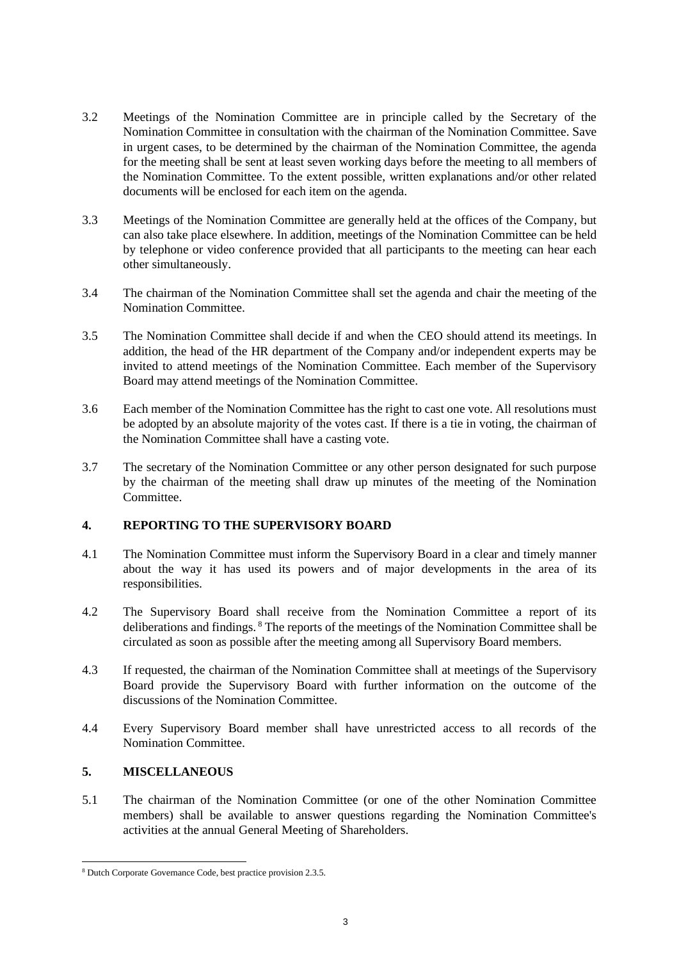- 3.2 Meetings of the Nomination Committee are in principle called by the Secretary of the Nomination Committee in consultation with the chairman of the Nomination Committee. Save in urgent cases, to be determined by the chairman of the Nomination Committee, the agenda for the meeting shall be sent at least seven working days before the meeting to all members of the Nomination Committee. To the extent possible, written explanations and/or other related documents will be enclosed for each item on the agenda.
- 3.3 Meetings of the Nomination Committee are generally held at the offices of the Company, but can also take place elsewhere. In addition, meetings of the Nomination Committee can be held by telephone or video conference provided that all participants to the meeting can hear each other simultaneously.
- 3.4 The chairman of the Nomination Committee shall set the agenda and chair the meeting of the Nomination Committee.
- 3.5 The Nomination Committee shall decide if and when the CEO should attend its meetings. In addition, the head of the HR department of the Company and/or independent experts may be invited to attend meetings of the Nomination Committee. Each member of the Supervisory Board may attend meetings of the Nomination Committee.
- 3.6 Each member of the Nomination Committee has the right to cast one vote. All resolutions must be adopted by an absolute majority of the votes cast. If there is a tie in voting, the chairman of the Nomination Committee shall have a casting vote.
- 3.7 The secretary of the Nomination Committee or any other person designated for such purpose by the chairman of the meeting shall draw up minutes of the meeting of the Nomination **Committee**

# **4. REPORTING TO THE SUPERVISORY BOARD**

- 4.1 The Nomination Committee must inform the Supervisory Board in a clear and timely manner about the way it has used its powers and of major developments in the area of its responsibilities.
- 4.2 The Supervisory Board shall receive from the Nomination Committee a report of its deliberations and findings. <sup>8</sup> The reports of the meetings of the Nomination Committee shall be circulated as soon as possible after the meeting among all Supervisory Board members.
- 4.3 If requested, the chairman of the Nomination Committee shall at meetings of the Supervisory Board provide the Supervisory Board with further information on the outcome of the discussions of the Nomination Committee.
- 4.4 Every Supervisory Board member shall have unrestricted access to all records of the Nomination Committee.

# **5. MISCELLANEOUS**

5.1 The chairman of the Nomination Committee (or one of the other Nomination Committee members) shall be available to answer questions regarding the Nomination Committee's activities at the annual General Meeting of Shareholders.

<sup>8</sup> Dutch Corporate Governance Code, best practice provision 2.3.5.